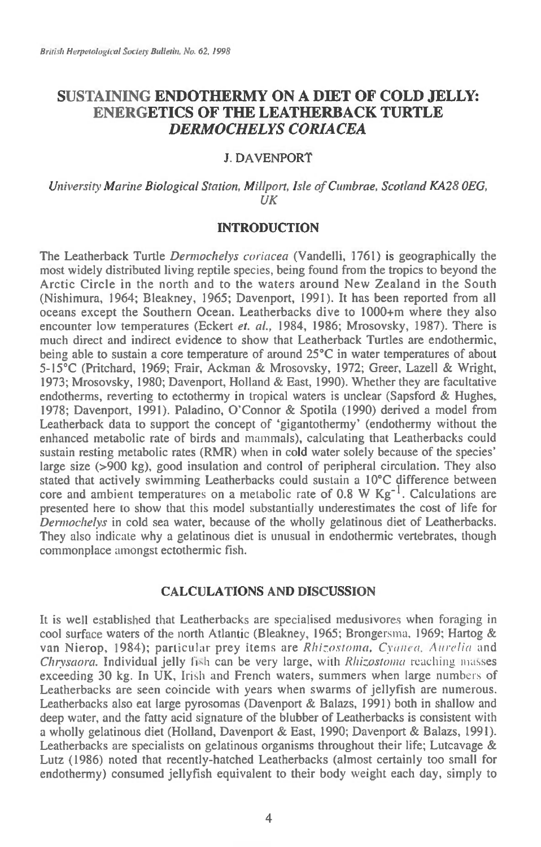# **SUSTAINING ENDOTHERMY ON A DIET OF COLD JELLY: ENERGETICS OF THE LEATHERBACK TURTLE**  *DERMOCHELYS CORIACEA*

## J. DAVENPORT

#### University Marine Biological Station, Mil!port, Isle of Cumbrae, Scotland KA28 OEG, UK

### **INTRODUCTION**

The Leatherback Turtle Dermochelys coriacea (Vandelli, 1761) is geographically the most widely distributed living reptile species, being found from the tropics to beyond the Arctic Circle in the north and to the waters around New Zealand in the South (Nishimura, 1964; Bleakney, 1965; Davenport, 1991). It has been reported from all oceans except the Southern Ocean. Leatherbacks dive to 1000+m where they also encounter low temperatures (Eckert et. al., 1984, 1986; Mrosovsky, 1987). There is much direct and indirect evidence to show that Leatherback Turtles are endothermic, being able to sustain a core temperature of around 25°C in water temperatures of about 5-I5°C (Pritchard, 1969; Frair, Ackman & Mrosovsky, 1972; Greer, Lazell & Wright, 1973; Mrosovsky, 1980; Davenport, Holland & East, 1990). Whether they are facultative endotherms, reverting to ectothermy in tropical waters is unclear (Sapsford & Hughes, 1978; Davenport, 1991). Paladino, O'Connor & Spotila (1990) derived a model from Leatherback data to support the concept of 'gigantothermy' (endothermy without the enhanced metabolic rate of birds and mammals), calculating that Leatherbacks could sustain resting metabolic rates (RMR) when in cold water solely because of the species' large size (>900 kg), good insulation and control of peripheral circulation. They also stated that actively swimming Leatherbacks could sustain a 10°C difference between core and ambient temperatures on a metabolic rate of 0.8 W  $Kg^{-1}$ . Calculations are presented here to show that this model substantially underestimates the cost of life for Dermochelys in cold sea water, because of the wholly gelatinous diet of Leatherbacks. They also indicate why a gelatinous diet is unusual in endothermic vertebrates, though commonplace amongst ectothermic fish.

### **CALCULATIONS AND DISCUSSION**

It is well established that Leatherbacks are specialised medusivores when foraging in cool surface waters of the north Atlantic (Bleakney, 1965; Brongersma, 1969; Hartog & van Nierop, 1984); particular prey items are Rhizostoma, Cyanea. Aurelia and Chrysaora. Individual jelly fish can be very large, with *Rhizostoma* reaching masses exceeding 30 kg. In UK, Irish and French waters, summers when large numbers of Leatherbacks are seen coincide with years when swarms of jellyfish are numerous. Leatherbacks also eat large pyrosomas (Davenport & Balazs, 1991) both in shallow and deep water, and the fatty acid signature of the blubber of Leatherbacks is consistent with a wholly gelatinous diet (Holland, Davenport & East, 1990; Davenport & Balazs, 1991). Leatherbacks are specialists on gelatinous organisms throughout their life; Lutcavage & Lutz (1986) noted that recently-hatched Leatherbacks (almost certainly too small for endothermy) consumed jellyfish equivalent to their body weight each day, simply to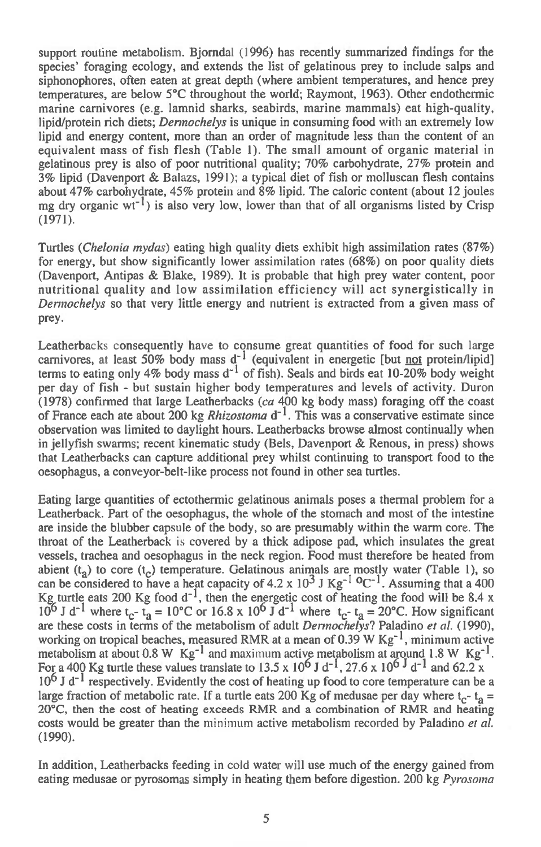support routine metabolism. Bjorndal (1996) has recently summarized findings for the species' foraging ecology, and extends the list of gelatinous prey to include salps and siphonophores, often eaten at great depth (where ambient temperatures, and hence prey temperatures, are below 5°C throughout the world; Raymont, 1963). Other endothermic marine carnivores (e.g. lamnid sharks, seabirds, marine mammals) eat high-quality. lipid/protein rich diets; *Derinochelys* is unique in consuming food with an extremely low lipid and energy content, more than an order of magnitude less than the content of an equivalent mass of fish flesh (Table 1). The small amount of organic material in gelatinous prey is also of poor nutritional quality; 70% carbohydrate, 27% protein and 3% lipid (Davenport & Balazs, 1991); a typical diet of fish or molluscan flesh contains about 47% carbohydrate, 45% protein and 8% lipid. The caloric content (about 12 joules mg dry organic  $wt^{-1}$ ) is also very low, lower than that of all organisms listed by Crisp (1971).

Turtles *(Chelonia mydas)* eating high quality diets exhibit high assimilation rates (87%) for energy, but show significantly lower assimilation rates (68%) on poor quality diets (Davenport, Antipas & Blake, 1989). It is probable that high prey water content, poor nutritional quality and low assimilation efficiency will act synergistically in *Dermochelys* so that very little energy and nutrient is extracted from a given mass of prey.

Leatherbacks consequently have to consume great quantities of food for such large carnivores, at least 50% body mass d<sup>-1</sup> (equivalent in energetic [but <u>not</u> protein/lipid] terms to eating only 4% body mass *d-1* of fish). Seals and birds eat 10-20% body weight per day of fish - but sustain higher body temperatures and levels of activity. Duron (1978) confirmed that large Leatherbacks *(ca* 400 kg body mass) foraging off the coast of France each ate about 200 kg *Rhizostoma* d<sup>-1</sup>. This was a conservative estimate since observation was limited to daylight hours. Leatherbacks browse almost continually when in jellyfish swarms; recent kinematic study (Bels, Davenport & Renous, in press) shows that Leatherbacks can capture additional prey whilst continuing to transport food to the oesophagus, a conveyor-belt-like process not found in other sea turtles.

Eating large quantities of ectothermic gelatinous animals poses a thermal problem for a Leatherback. Part of the oesophagus, the whole of the stomach and most of the intestine are inside the blubber capsule of the body, so are presumably within the warm core. The throat of the Leatherback is covered by a thick adipose pad, which insulates the great vessels, trachea and oesophagus in the neck region. Food must therefore be heated from abient ( $t_a$ ) to core ( $t_c$ ) temperature. Gelatinous animals are mostly water (Table 1), so can be considered to have a heat capacity of 4.2 x 10<sup>3</sup> J Kg<sup>-1</sup> <sup>o</sup>C<sup>-1</sup>. Assuming that a 400 Kg turtle eats 200 Kg food d<sup>-1</sup>, then the energetic cost of heating the food will be 8.4 x 10<sup>6</sup> J d<sup>-1</sup> where t<sub>c</sub>- t<sub>a</sub> = 20°C. How significant are these costs in terms of the metabolism of adult *Dennochelys?* Paladino *et al.* (1990), working on tropical beaches, measured RMR at a mean of 0.39 W  $Kg^{-1}$ , minimum active metabolism at about  $0.8 \text{ W Kg}^{-1}$  and maximum active metabolism at around 1.8 W Kg<sup>-1</sup>. For a 400 Kg turtle these values translate to 13.5 x 10<sup>6</sup> J d<sup>-1</sup>, 27.6 x 10<sup>6</sup> J d<sup>-1</sup> and 62.2 x  $10^6$  J d<sup>-1</sup> respectively. Evidently the cost of heating up food to core temperature can be a large fraction of metabolic rate. If a turtle eats 200 Kg of medusae per day where  $t_c - t_a =$ 20°C, then the cost of heating exceeds RMR and a combination of RMR and heating costs would be greater than the minimum active metabolism recorded by Paladino *et al.*  (1990).

In addition, Leatherbacks feeding in cold water will use much of the energy gained from eating medusae or pyrosomas simply in heating them before digestion. 200 kg *Pyrosoma*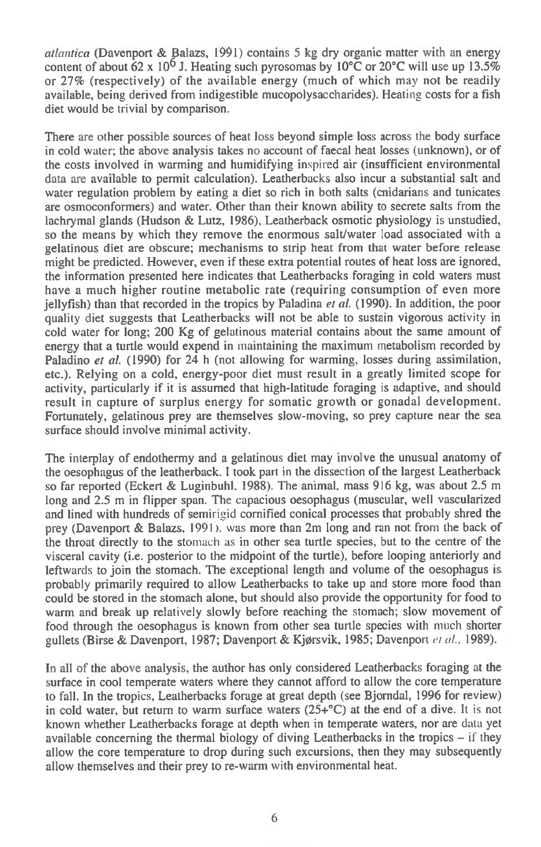*atlantica* **(Davenport & Balazs, 1991) contains 5 kg dry organic matter with an energy**  content of about  $62 \times 10^6$  J. Heating such pyrosomas by  $10^{\circ}$ C or  $20^{\circ}$ C will use up 13.5% **or 27% (respectively) of the available energy (much of which may not be readily available, being derived from indigestible mucopolysaccharides). Heating costs for a fish diet would be trivial by comparison.** 

**There are other possible sources of heat loss beyond simple loss across the body surface in cold water; the above analysis takes no account of faecal heat losses (unknown), or of the costs involved in warming and humidifying inspired air (insufficient environmental data are available to permit calculation). Leatherbacks also incur a substantial salt and water regulation problem by eating a diet so rich in both salts (cnidarians and tunicates are osmoconformers) and water. Other than their known ability to secrete salts from the lachrymal glands (Hudson & Lutz, 1986), Leatherback osmotic physiology is unstudied, so the means by which they remove the enormous salt/water load associated with a gelatinous diet are obscure; mechanisms to strip heat from that water before release might be predicted. However, even if these extra potential routes of heat loss are ignored, the information presented here indicates that Leatherbacks foraging in cold waters must have a much higher routine metabolic rate (requiring consumption of even more jellyfish) than that recorded in the tropics by Paladina** *et al.* **(1990). In addition, the poor quality diet suggests that Leatherbacks will not be able to sustain vigorous activity in cold water for long; 200 Kg of gelatinous material contains about the same amount of energy that a turtle would expend in maintaining the maximum metabolism recorded by Paladino** *et al.* **(1990) for 24 h (not allowing for warming, losses during assimilation, etc.). Relying on a cold, energy-poor diet must result in a greatly limited scope for activity, particularly if it is assumed that high-latitude foraging is adaptive, and should result in capture of surplus energy for somatic growth or gonadal development. Fortunately, gelatinous prey are themselves slow-moving, so prey capture near the sea surface should involve minimal activity.** 

**The interplay of endothermy and a gelatinous diet may involve the unusual anatomy of the oesophagus of the leatherback. I took part in the dissection of the largest Leatherback so far reported (Eckert & Luginbuhl, 1988). The animal, mass 916 kg, was about 2.5 m long and 2.5 m in flipper span. The capacious oesophagus (muscular, well vascularized and lined with hundreds of semirigid cornified conical processes that probably shred the prey (Davenport & Balazs, 1991). was more than 2m long and ran not from the back of the throat directly to the stomach as in other sea turtle species, but to the centre of the visceral cavity (i.e. posterior to the midpoint of the turtle), before looping anteriorly and leftwards to join the stomach. The exceptional length and volume of the oesophagus is probably primarily required to allow Leatherbacks to take up and store more food than could be stored in the stomach alone, but should also provide the opportunity for food to warm and break up relatively slowly before reaching the stomach; slow movement of food through the oesophagus is known from other sea turtle species with much shorter gullets (Birse & Davenport, 1987; Davenport & Kjorsvik, 1985; Davenport** *et al.,* **1989).** 

**In all of the above analysis, the author has only considered Leatherbacks foraging at the surface in cool temperate waters where they cannot afford to allow the core temperature to fall. In the tropics, Leatherbacks forage at great depth (see Bjorndal, 1996 for review) in cold water, but return to warm surface waters (25+°C) at the end of a dive. It is not known whether Leatherbacks forage at depth when in temperate waters, nor are data yet available concerning the thermal biology of diving Leatherbacks in the tropics — if they allow the core temperature to drop during such excursions, then they may subsequently allow themselves and their prey to re-warm with environmental heat.**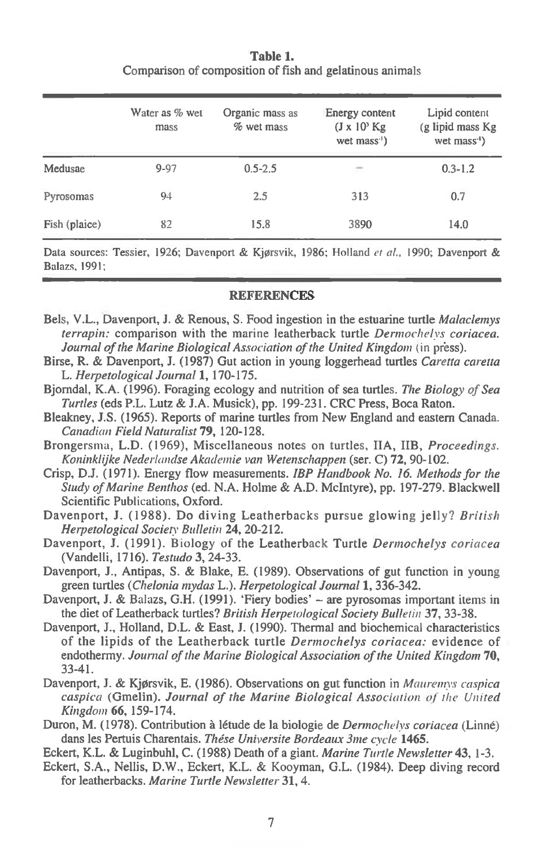**Table 1.**  Comparison of composition of fish and gelatinous animals

|               | Water as % wet<br>mass | Organic mass as<br>% wet mass | Energy content<br>$(J \times 10^{3} \text{ kg})$<br>wet $mass'$ ) | Lipid content<br>(g lipid mass Kg<br>wet $mass-1$ ) |
|---------------|------------------------|-------------------------------|-------------------------------------------------------------------|-----------------------------------------------------|
| Medusae       | $9 - 97$               | $0.5 - 2.5$                   |                                                                   | $0.3 - 1.2$                                         |
| Pyrosomas     | 94                     | 2.5                           | 313                                                               | 0.7                                                 |
| Fish (plaice) | 82                     | 15.8                          | 3890                                                              | 14.0                                                |

Data sources: Tessier, 1926; Davenport & Kjørsvik, 1986; Holland et al., 1990; Davenport & Balazs, 1991;

#### **REFERENCES**

- Bels, V.L., Davenport, J. & Renous, S. Food ingestion in the estuarine turtle Malaclemys terrapin: comparison with the marine leatherback turtle Dermochelys coriacea. Journal of the Marine Biological Association of the United Kingdom (in press).
- Birse, R. & Davenport, J. (1987) Gut action in young loggerhead turtles Caretta caretta L. Herpetological Journal **1,** 170-175.
- Bjorndal, K.A. (1996). Foraging ecology and nutrition of sea turtles. The Biology of Sea Turtles (eds P.L. Lutz & J.A. Musick), pp. 199-231. CRC Press, Boca Raton.
- Bleakney, J.S. (1965). Reports of marine turtles from New England and eastern Canada. Canadian Field Naturalist **79,** 120-128.
- Brongersma, L.D. (1969), Miscellaneous notes on turtles, IIA, IIB, Proceedings. Koninklijke Nederlandse Akademie van Wetenschappen (ser. C) **72,** 90-102.
- Crisp, D.J. (1971). Energy flow measurements. IBP Handbook No. 16. Methods for the Study of Marine Benthos (ed. N.A. Holme & A.D. McIntyre), pp. 197-279. Blackwell Scientific Publications, Oxford.
- Davenport, **J.** (1988). Do diving Leatherbacks pursue glowing jelly? British Herpetological Society Bulletin 24, 20-212.
- Davenport, J. (1991). Biology of the Leatherback Turtle Dermochelys coriacea (Vandelli, 1716). Testudo **3,** 24-33.
- Davenport, **J.,** Antipas, S. & Blake, E. (1989). Observations of gut function in young green turtles (Chelonia mydas L.). Herpetological Journal 1, 336-342.
- Davenport, J. & Balazs, G.H. (1991). 'Fiery bodies' are pyrosomas important items in the diet of Leatherback turtles? British Herpetological Society Bulletin 37, 33-38.
- Davenport, J., Holland, D.L. & East, J. (1990). Thermal and biochemical characteristics of the lipids of the Leatherback turtle Dermochelys coriacea: evidence of endothermy. Journal of the Marine Biological Association of the United Kingdom **70,**  33-41.
- Davenport, J. & Kjørsvik, E. (1986). Observations on gut function in Mauremys caspica caspica (Gmelin). Journal of the Marine Biological Association of the United Kingdom **66,** 159-174.
- Duron, M. (1978). Contribution à létude de la biologie de *Dermochelys coriacea* (Linné) dans les Pertuis Charentais. These Universite Bordeaux 3me cycle **1465.**
- Eckert, K.L. & Luginbuhl, C. (1988) Death of a giant. Marine Turtle Newsletter **43,** 1-3.
- Eckert, S.A., Nellis, D.W., Eckert, K.L. & Kooyman, G.L. (1984). Deep diving record for leatherbacks. Marine Turtle Newsletter **31,** 4.